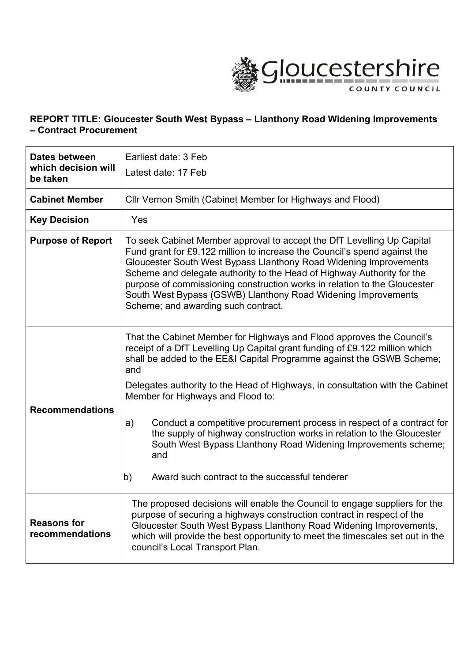

## **REPORT TITLE: Gloucester South West Bypass – Llanthony Road Widening Improvements – Contract Procurement**

| Dates between<br>which decision will<br>be taken | Earliest date: 3 Feb<br>Latest date: 17 Feb                                                                                                                                                                                                                                                                                                                                                                                                                                             |  |  |
|--------------------------------------------------|-----------------------------------------------------------------------------------------------------------------------------------------------------------------------------------------------------------------------------------------------------------------------------------------------------------------------------------------------------------------------------------------------------------------------------------------------------------------------------------------|--|--|
| <b>Cabinet Member</b>                            | Cllr Vernon Smith (Cabinet Member for Highways and Flood)                                                                                                                                                                                                                                                                                                                                                                                                                               |  |  |
| <b>Key Decision</b>                              | Yes                                                                                                                                                                                                                                                                                                                                                                                                                                                                                     |  |  |
| <b>Purpose of Report</b>                         | To seek Cabinet Member approval to accept the DfT Levelling Up Capital<br>Fund grant for £9.122 million to increase the Council's spend against the<br>Gloucester South West Bypass Llanthony Road Widening Improvements<br>Scheme and delegate authority to the Head of Highway Authority for the<br>purpose of commissioning construction works in relation to the Gloucester<br>South West Bypass (GSWB) Llanthony Road Widening Improvements<br>Scheme; and awarding such contract. |  |  |
| <b>Recommendations</b>                           | That the Cabinet Member for Highways and Flood approves the Council's<br>receipt of a DfT Levelling Up Capital grant funding of £9.122 million which<br>shall be added to the EE&I Capital Programme against the GSWB Scheme;<br>and<br>Delegates authority to the Head of Highways, in consultation with the Cabinet<br>Member for Highways and Flood to:                                                                                                                              |  |  |
|                                                  | Conduct a competitive procurement process in respect of a contract for<br>a)<br>the supply of highway construction works in relation to the Gloucester<br>South West Bypass Llanthony Road Widening Improvements scheme;<br>and<br>Award such contract to the successful tenderer<br>b)                                                                                                                                                                                                 |  |  |
|                                                  |                                                                                                                                                                                                                                                                                                                                                                                                                                                                                         |  |  |
| <b>Reasons for</b><br>recommendations            | The proposed decisions will enable the Council to engage suppliers for the<br>purpose of securing a highways construction contract in respect of the<br>Gloucester South West Bypass Llanthony Road Widening Improvements,<br>which will provide the best opportunity to meet the timescales set out in the<br>council's Local Transport Plan.                                                                                                                                          |  |  |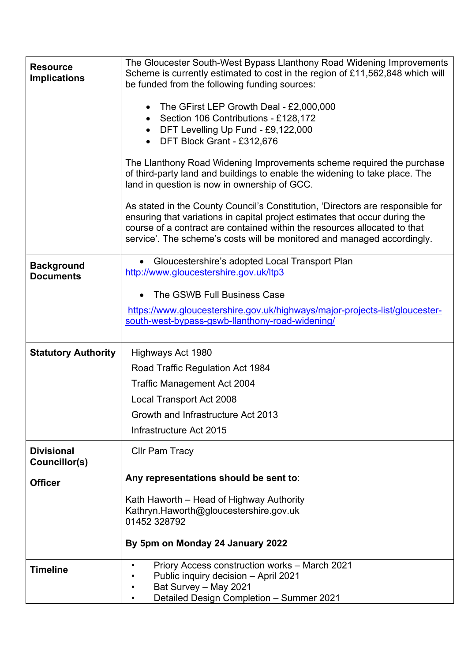| <b>Resource</b><br><b>Implications</b> | The Gloucester South-West Bypass Llanthony Road Widening Improvements<br>Scheme is currently estimated to cost in the region of £11,562,848 which will<br>be funded from the following funding sources:<br>• The GFirst LEP Growth Deal - £2,000,000<br>Section 106 Contributions - £128,172<br>$\bullet$<br>• DFT Levelling Up Fund - £9,122,000<br>DFT Block Grant - £312,676<br>The Llanthony Road Widening Improvements scheme required the purchase<br>of third-party land and buildings to enable the widening to take place. The<br>land in question is now in ownership of GCC.<br>As stated in the County Council's Constitution, 'Directors are responsible for<br>ensuring that variations in capital project estimates that occur during the<br>course of a contract are contained within the resources allocated to that<br>service'. The scheme's costs will be monitored and managed accordingly. |
|----------------------------------------|------------------------------------------------------------------------------------------------------------------------------------------------------------------------------------------------------------------------------------------------------------------------------------------------------------------------------------------------------------------------------------------------------------------------------------------------------------------------------------------------------------------------------------------------------------------------------------------------------------------------------------------------------------------------------------------------------------------------------------------------------------------------------------------------------------------------------------------------------------------------------------------------------------------|
| <b>Background</b><br><b>Documents</b>  | • Gloucestershire's adopted Local Transport Plan<br>http://www.gloucestershire.gov.uk/ltp3                                                                                                                                                                                                                                                                                                                                                                                                                                                                                                                                                                                                                                                                                                                                                                                                                       |
|                                        | The GSWB Full Business Case                                                                                                                                                                                                                                                                                                                                                                                                                                                                                                                                                                                                                                                                                                                                                                                                                                                                                      |
|                                        | https://www.gloucestershire.gov.uk/highways/major-projects-list/gloucester-<br>south-west-bypass-gswb-llanthony-road-widening/                                                                                                                                                                                                                                                                                                                                                                                                                                                                                                                                                                                                                                                                                                                                                                                   |
| <b>Statutory Authority</b>             | Highways Act 1980                                                                                                                                                                                                                                                                                                                                                                                                                                                                                                                                                                                                                                                                                                                                                                                                                                                                                                |
|                                        | Road Traffic Regulation Act 1984                                                                                                                                                                                                                                                                                                                                                                                                                                                                                                                                                                                                                                                                                                                                                                                                                                                                                 |
|                                        | <b>Traffic Management Act 2004</b>                                                                                                                                                                                                                                                                                                                                                                                                                                                                                                                                                                                                                                                                                                                                                                                                                                                                               |
|                                        | Local Transport Act 2008                                                                                                                                                                                                                                                                                                                                                                                                                                                                                                                                                                                                                                                                                                                                                                                                                                                                                         |
|                                        | Growth and Infrastructure Act 2013                                                                                                                                                                                                                                                                                                                                                                                                                                                                                                                                                                                                                                                                                                                                                                                                                                                                               |
|                                        | Infrastructure Act 2015                                                                                                                                                                                                                                                                                                                                                                                                                                                                                                                                                                                                                                                                                                                                                                                                                                                                                          |
| <b>Divisional</b><br>Councillor(s)     | <b>Cllr Pam Tracy</b>                                                                                                                                                                                                                                                                                                                                                                                                                                                                                                                                                                                                                                                                                                                                                                                                                                                                                            |
| <b>Officer</b>                         | Any representations should be sent to:                                                                                                                                                                                                                                                                                                                                                                                                                                                                                                                                                                                                                                                                                                                                                                                                                                                                           |
|                                        | Kath Haworth – Head of Highway Authority<br>Kathryn.Haworth@gloucestershire.gov.uk<br>01452 328792                                                                                                                                                                                                                                                                                                                                                                                                                                                                                                                                                                                                                                                                                                                                                                                                               |
|                                        | By 5pm on Monday 24 January 2022                                                                                                                                                                                                                                                                                                                                                                                                                                                                                                                                                                                                                                                                                                                                                                                                                                                                                 |
| <b>Timeline</b>                        | Priory Access construction works - March 2021<br>Public inquiry decision - April 2021<br>Bat Survey - May 2021<br>Detailed Design Completion - Summer 2021                                                                                                                                                                                                                                                                                                                                                                                                                                                                                                                                                                                                                                                                                                                                                       |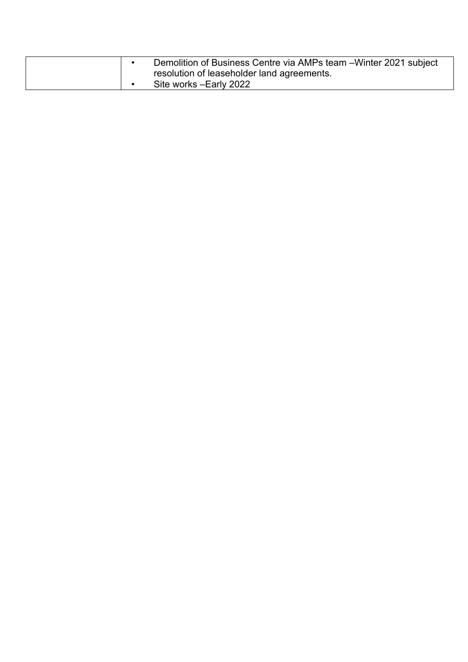| Demolition of Business Centre via AMPs team – Winter 2021 subject |                                            |
|-------------------------------------------------------------------|--------------------------------------------|
|                                                                   | resolution of leaseholder land agreements. |
|                                                                   | Site works - Early 2022                    |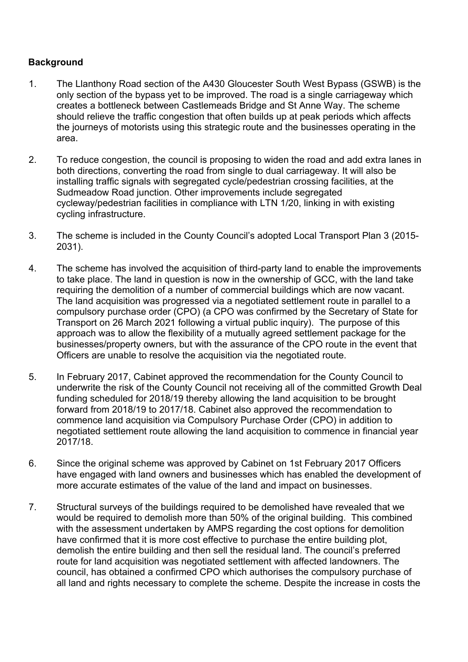# **Background**

- 1. The Llanthony Road section of the A430 Gloucester South West Bypass (GSWB) is the only section of the bypass yet to be improved. The road is a single carriageway which creates a bottleneck between Castlemeads Bridge and St Anne Way. The scheme should relieve the traffic congestion that often builds up at peak periods which affects the journeys of motorists using this strategic route and the businesses operating in the area.
- 2. To reduce congestion, the council is proposing to widen the road and add extra lanes in both directions, converting the road from single to dual carriageway. It will also be installing traffic signals with segregated cycle/pedestrian crossing facilities, at the Sudmeadow Road junction. Other improvements include segregated cycleway/pedestrian facilities in compliance with LTN 1/20, linking in with existing cycling infrastructure.
- 3. The scheme is included in the County Council's adopted Local Transport Plan 3 (2015- 2031).
- 4. The scheme has involved the acquisition of third-party land to enable the improvements to take place. The land in question is now in the ownership of GCC, with the land take requiring the demolition of a number of commercial buildings which are now vacant. The land acquisition was progressed via a negotiated settlement route in parallel to a compulsory purchase order (CPO) (a CPO was confirmed by the Secretary of State for Transport on 26 March 2021 following a virtual public inquiry). The purpose of this approach was to allow the flexibility of a mutually agreed settlement package for the businesses/property owners, but with the assurance of the CPO route in the event that Officers are unable to resolve the acquisition via the negotiated route.
- 5. In February 2017, Cabinet approved the recommendation for the County Council to underwrite the risk of the County Council not receiving all of the committed Growth Deal funding scheduled for 2018/19 thereby allowing the land acquisition to be brought forward from 2018/19 to 2017/18. Cabinet also approved the recommendation to commence land acquisition via Compulsory Purchase Order (CPO) in addition to negotiated settlement route allowing the land acquisition to commence in financial year 2017/18.
- 6. Since the original scheme was approved by Cabinet on 1st February 2017 Officers have engaged with land owners and businesses which has enabled the development of more accurate estimates of the value of the land and impact on businesses.
- 7. Structural surveys of the buildings required to be demolished have revealed that we would be required to demolish more than 50% of the original building. This combined with the assessment undertaken by AMPS regarding the cost options for demolition have confirmed that it is more cost effective to purchase the entire building plot, demolish the entire building and then sell the residual land. The council's preferred route for land acquisition was negotiated settlement with affected landowners. The council, has obtained a confirmed CPO which authorises the compulsory purchase of all land and rights necessary to complete the scheme. Despite the increase in costs the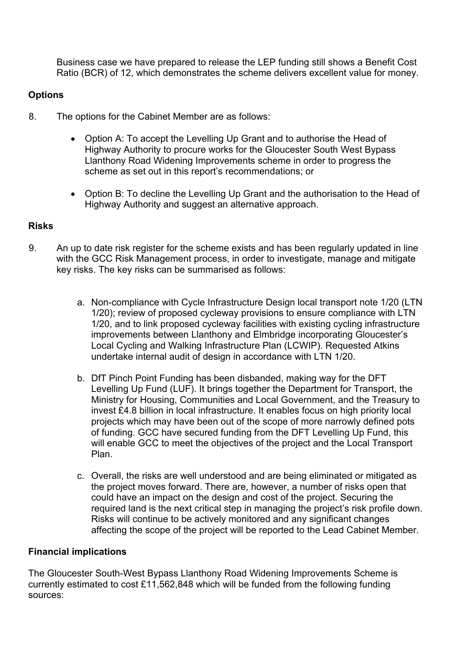Business case we have prepared to release the LEP funding still shows a Benefit Cost Ratio (BCR) of 12, which demonstrates the scheme delivers excellent value for money.

# **Options**

- 8. The options for the Cabinet Member are as follows:
	- Option A: To accept the Levelling Up Grant and to authorise the Head of Highway Authority to procure works for the Gloucester South West Bypass Llanthony Road Widening Improvements scheme in order to progress the scheme as set out in this report's recommendations; or
	- Option B: To decline the Levelling Up Grant and the authorisation to the Head of Highway Authority and suggest an alternative approach.

## **Risks**

- 9. An up to date risk register for the scheme exists and has been regularly updated in line with the GCC Risk Management process, in order to investigate, manage and mitigate key risks. The key risks can be summarised as follows:
	- a. Non-compliance with Cycle Infrastructure Design local transport note 1/20 (LTN 1/20); review of proposed cycleway provisions to ensure compliance with LTN 1/20, and to link proposed cycleway facilities with existing cycling infrastructure improvements between Llanthony and Elmbridge incorporating Gloucester's Local Cycling and Walking Infrastructure Plan (LCWIP). Requested Atkins undertake internal audit of design in accordance with LTN 1/20.
	- b. DfT Pinch Point Funding has been disbanded, making way for the DFT Levelling Up Fund (LUF). It brings together the Department for Transport, the Ministry for Housing, Communities and Local Government, and the Treasury to invest £4.8 billion in local infrastructure. It enables focus on high priority local projects which may have been out of the scope of more narrowly defined pots of funding. GCC have secured funding from the DFT Levelling Up Fund, this will enable GCC to meet the objectives of the project and the Local Transport Plan.
	- c. Overall, the risks are well understood and are being eliminated or mitigated as the project moves forward. There are, however, a number of risks open that could have an impact on the design and cost of the project. Securing the required land is the next critical step in managing the project's risk profile down. Risks will continue to be actively monitored and any significant changes affecting the scope of the project will be reported to the Lead Cabinet Member.

## **Financial implications**

The Gloucester South-West Bypass Llanthony Road Widening Improvements Scheme is currently estimated to cost £11,562,848 which will be funded from the following funding sources: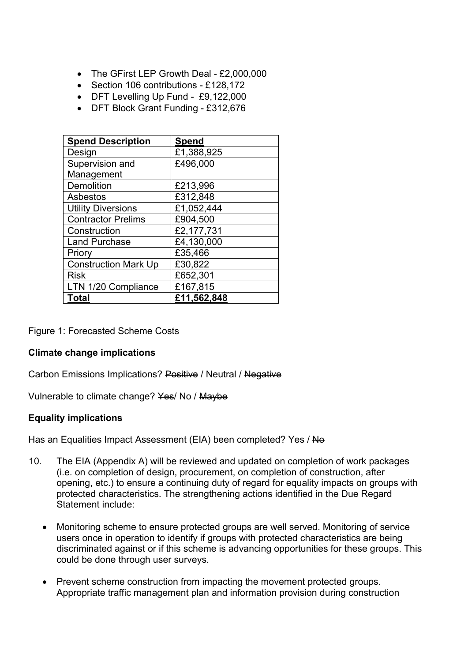- The GFirst LEP Growth Deal £2,000,000
- Section 106 contributions £128,172
- DFT Levelling Up Fund £9,122,000
- DFT Block Grant Funding £312,676

| <b>Spend Description</b>    | Spend       |
|-----------------------------|-------------|
| Design                      | £1,388,925  |
| Supervision and             | £496,000    |
| Management                  |             |
| Demolition                  | £213,996    |
| Asbestos                    | £312,848    |
| <b>Utility Diversions</b>   | £1,052,444  |
| <b>Contractor Prelims</b>   | £904,500    |
| Construction                | £2,177,731  |
| <b>Land Purchase</b>        | £4,130,000  |
| Priory                      | £35,466     |
| <b>Construction Mark Up</b> | £30,822     |
| <b>Risk</b>                 | £652,301    |
| LTN 1/20 Compliance         | £167,815    |
| Total                       | £11,562,848 |

Figure 1: Forecasted Scheme Costs

#### **Climate change implications**

Carbon Emissions Implications? Positive / Neutral / Negative

Vulnerable to climate change? Yes/ No / Maybe

### **Equality implications**

Has an Equalities Impact Assessment (EIA) been completed? Yes / No

- 10. The EIA (Appendix A) will be reviewed and updated on completion of work packages (i.e. on completion of design, procurement, on completion of construction, after opening, etc.) to ensure a continuing duty of regard for equality impacts on groups with protected characteristics. The strengthening actions identified in the Due Regard Statement include:
	- Monitoring scheme to ensure protected groups are well served. Monitoring of service users once in operation to identify if groups with protected characteristics are being discriminated against or if this scheme is advancing opportunities for these groups. This could be done through user surveys.
	- Prevent scheme construction from impacting the movement protected groups. Appropriate traffic management plan and information provision during construction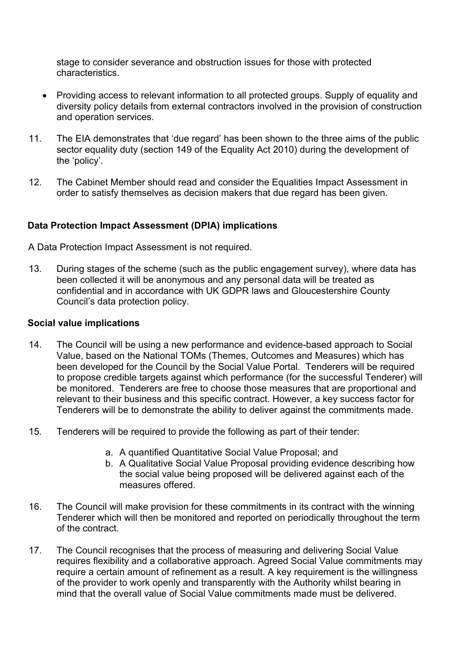stage to consider severance and obstruction issues for those with protected characteristics.

- Providing access to relevant information to all protected groups. Supply of equality and diversity policy details from external contractors involved in the provision of construction and operation services.
- 11. The EIA demonstrates that 'due regard' has been shown to the three aims of the public sector equality duty (section 149 of the Equality Act 2010) during the development of the 'policy'.
- 12. The Cabinet Member should read and consider the Equalities Impact Assessment in order to satisfy themselves as decision makers that due regard has been given.

### **Data Protection Impact Assessment (DPIA) implications**

A Data Protection Impact Assessment is not required.

13. During stages of the scheme (such as the public engagement survey), where data has been collected it will be anonymous and any personal data will be treated as confidential and in accordance with UK GDPR laws and Gloucestershire County Council's data protection policy.

### **Social value implications**

- 14. The Council will be using a new performance and evidence-based approach to Social Value, based on the National TOMs (Themes, Outcomes and Measures) which has been developed for the Council by the Social Value Portal. Tenderers will be required to propose credible targets against which performance (for the successful Tenderer) will be monitored. Tenderers are free to choose those measures that are proportional and relevant to their business and this specific contract. However, a key success factor for Tenderers will be to demonstrate the ability to deliver against the commitments made.
- 15. Tenderers will be required to provide the following as part of their tender:
	- a. A quantified Quantitative Social Value Proposal; and
	- b. A Qualitative Social Value Proposal providing evidence describing how the social value being proposed will be delivered against each of the measures offered.
- 16. The Council will make provision for these commitments in its contract with the winning Tenderer which will then be monitored and reported on periodically throughout the term of the contract.
- 17. The Council recognises that the process of measuring and delivering Social Value requires flexibility and a collaborative approach. Agreed Social Value commitments may require a certain amount of refinement as a result. A key requirement is the willingness of the provider to work openly and transparently with the Authority whilst bearing in mind that the overall value of Social Value commitments made must be delivered.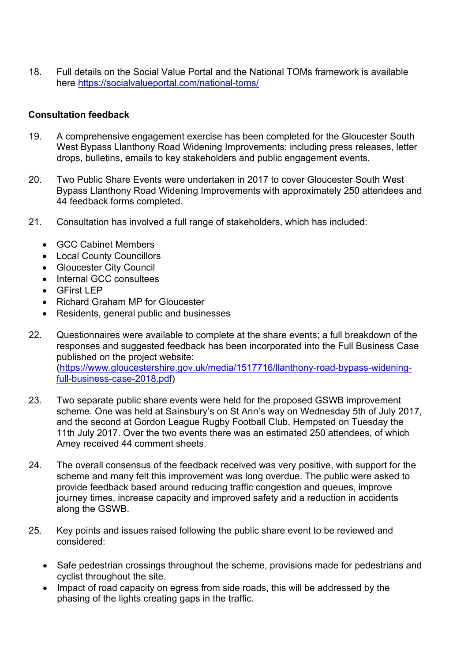18. Full details on the Social Value Portal and the National TOMs framework is available here <https://socialvalueportal.com/national-toms/>

### **Consultation feedback**

- 19. A comprehensive engagement exercise has been completed for the Gloucester South West Bypass Llanthony Road Widening Improvements; including press releases, letter drops, bulletins, emails to key stakeholders and public engagement events.
- 20. Two Public Share Events were undertaken in 2017 to cover Gloucester South West Bypass Llanthony Road Widening Improvements with approximately 250 attendees and 44 feedback forms completed.
- 21. Consultation has involved a full range of stakeholders, which has included:
	- GCC Cabinet Members
	- Local County Councillors
	- Gloucester City Council
	- Internal GCC consultees
	- GFirst LEP
	- Richard Graham MP for Gloucester
	- Residents, general public and businesses
- 22. Questionnaires were available to complete at the share events; a full breakdown of the responses and suggested feedback has been incorporated into the Full Business Case published on the project website: ([https://www.gloucestershire.gov.uk/media/1517716/llanthony-road-bypass-widening](https://www.gloucestershire.gov.uk/media/1517716/llanthony-road-bypass-widening-full-business-case-2018.pdf)[full-business-case-2018.pdf\)](https://www.gloucestershire.gov.uk/media/1517716/llanthony-road-bypass-widening-full-business-case-2018.pdf)
- 23. Two separate public share events were held for the proposed GSWB improvement scheme. One was held at Sainsbury's on St Ann's way on Wednesday 5th of July 2017, and the second at Gordon League Rugby Football Club, Hempsted on Tuesday the 11th July 2017. Over the two events there was an estimated 250 attendees, of which Amey received 44 comment sheets.
- 24. The overall consensus of the feedback received was very positive, with support for the scheme and many felt this improvement was long overdue. The public were asked to provide feedback based around reducing traffic congestion and queues, improve journey times, increase capacity and improved safety and a reduction in accidents along the GSWB.
- 25. Key points and issues raised following the public share event to be reviewed and considered:
	- Safe pedestrian crossings throughout the scheme, provisions made for pedestrians and cyclist throughout the site.
	- Impact of road capacity on egress from side roads, this will be addressed by the phasing of the lights creating gaps in the traffic.